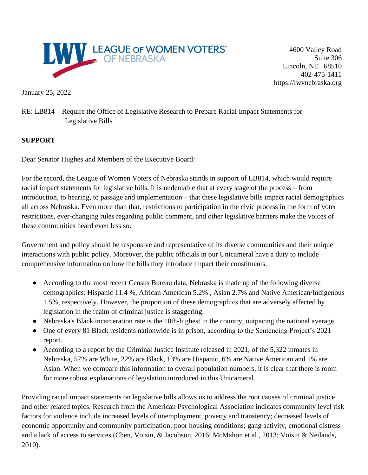

4600 Valley Road Suite 306 Lincoln, NE 68510 402-475-1411 https://lwvnebraska.org

January 25, 2022

RE: LB814 – Require the Office of Legislative Research to Prepare Racial Impact Statements for Legislative Bills

## **SUPPORT**

Dear Senator Hughes and Members of the Executive Board:

For the record, the League of Women Voters of Nebraska stands in support of LB814, which would require racial impact statements for legislative bills. It is undeniable that at every stage of the process – from introduction, to hearing, to passage and implementation – that these legislative bills impact racial demographics all across Nebraska. Even more than that, restrictions to participation in the civic process in the form of voter restrictions, ever-changing rules regarding public comment, and other legislative barriers make the voices of these communities heard even less so.

Government and policy should be responsive and representative of its diverse communities and their unique interactions with public policy. Moreover, the public officials in our Unicameral have a duty to include comprehensive information on how the bills they introduce impact their constituents.

- According to the most recent Census Bureau data, Nebraska is made up of the following diverse demographics: Hispanic 11.4 %, African American 5.2% , Asian 2.7% and Native American/Indigenous 1.5%, respectively. However, the proportion of these demographics that are adversely affected by legislation in the realm of criminal justice is staggering.
- Nebraska's Black incarceration rate is the 10th-highest in the country, outpacing the national average.
- One of every 81 Black residents nationwide is in prison, according to the Sentencing Project's 2021 report.
- According to a report by the Criminal Justice Institute released in 2021, of the 5,322 inmates in Nebraska, 57% are White, 22% are Black, 13% are Hispanic, 6% are Native American and 1% are Asian. When we compare this information to overall population numbers, it is clear that there is room for more robust explanations of legislation introduced in this Unicameral.

Providing racial impact statements on legislative bills allows us to address the root causes of criminal justice and other related topics. Research from the American Psychological Association indicates community level risk factors for violence include increased levels of unemployment, poverty and transiency; decreased levels of economic opportunity and community participation; poor housing conditions; gang activity, emotional distress and a lack of access to services (Chen, Voisin, & Jacobson, 2016; McMahon et al., 2013; Voisin & Neilands, 2010).